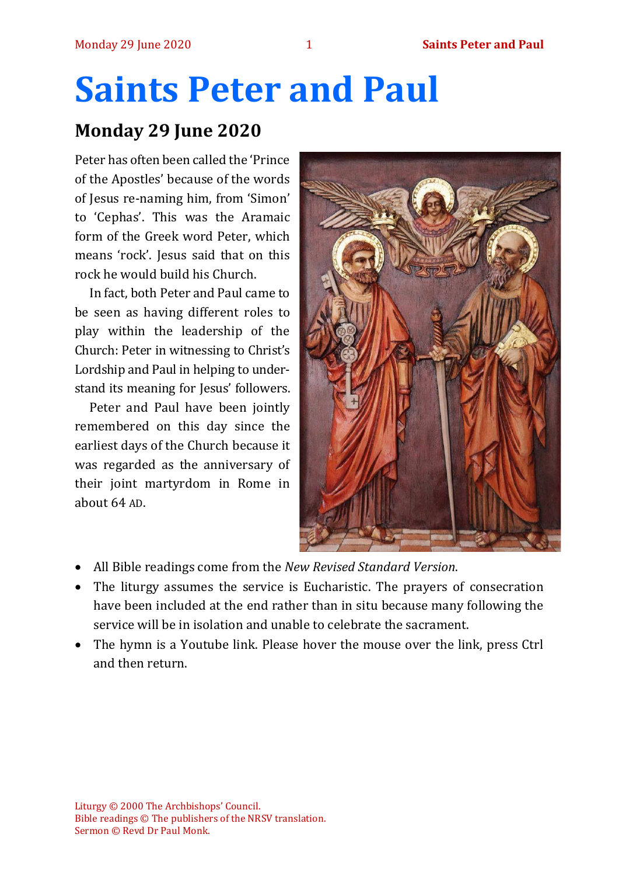# **Saints Peter and Paul**

# **Monday 29 June 2020**

Peter has often been called the 'Prince of the Apostles' because of the words of Jesus re-naming him, from 'Simon' to 'Cephas'. This was the Aramaic form of the Greek word Peter, which means 'rock'. Jesus said that on this rock he would build his Church.

In fact, both Peter and Paul came to be seen as having different roles to play within the leadership of the Church: Peter in witnessing to Christ's Lordship and Paul in helping to understand its meaning for Jesus' followers.

Peter and Paul have been jointly remembered on this day since the earliest days of the Church because it was regarded as the anniversary of their joint martyrdom in Rome in about 64 AD.



- All Bible readings come from the *New Revised Standard Version*.
- The liturgy assumes the service is Eucharistic. The prayers of consecration have been included at the end rather than in situ because many following the service will be in isolation and unable to celebrate the sacrament.
- The hymn is a Youtube link. Please hover the mouse over the link, press Ctrl and then return.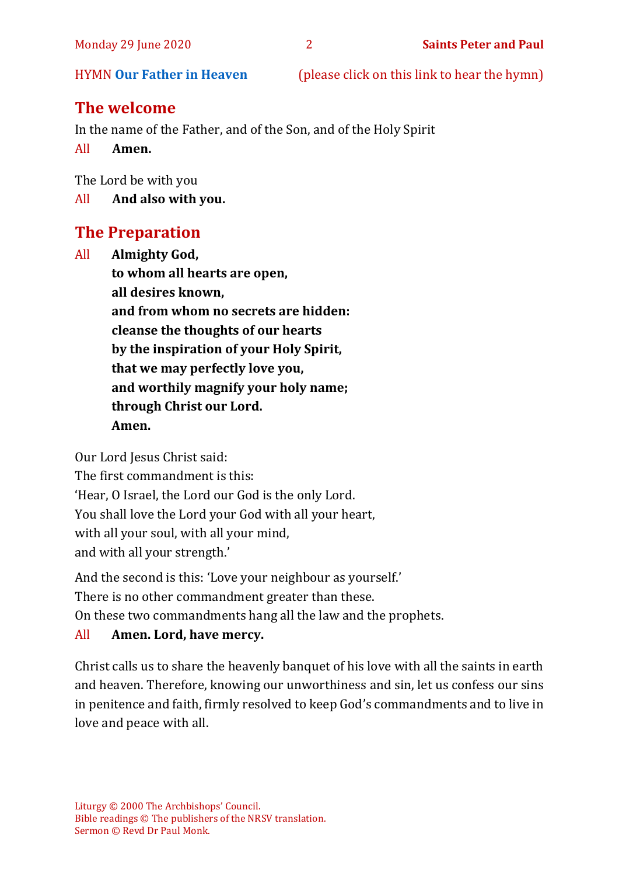HYMN **[Our Father in Heaven](https://www.youtube.com/watch?v=3IGN6Fq_mlU)** (please click on this link to hear the hymn)

# **The welcome**

In the name of the Father, and of the Son, and of the Holy Spirit

All **Amen.**

The Lord be with you

All **And also with you.**

# **The Preparation**

All **Almighty God, to whom all hearts are open, all desires known, and from whom no secrets are hidden: cleanse the thoughts of our hearts by the inspiration of your Holy Spirit, that we may perfectly love you, and worthily magnify your holy name; through Christ our Lord. Amen.**

Our Lord Jesus Christ said:

The first commandment is this: 'Hear, O Israel, the Lord our God is the only Lord. You shall love the Lord your God with all your heart, with all your soul, with all your mind, and with all your strength.'

And the second is this: 'Love your neighbour as yourself.'

There is no other commandment greater than these.

On these two commandments hang all the law and the prophets.

#### All **Amen. Lord, have mercy.**

Christ calls us to share the heavenly banquet of his love with all the saints in earth and heaven. Therefore, knowing our unworthiness and sin, let us confess our sins in penitence and faith, firmly resolved to keep God's commandments and to live in love and peace with all.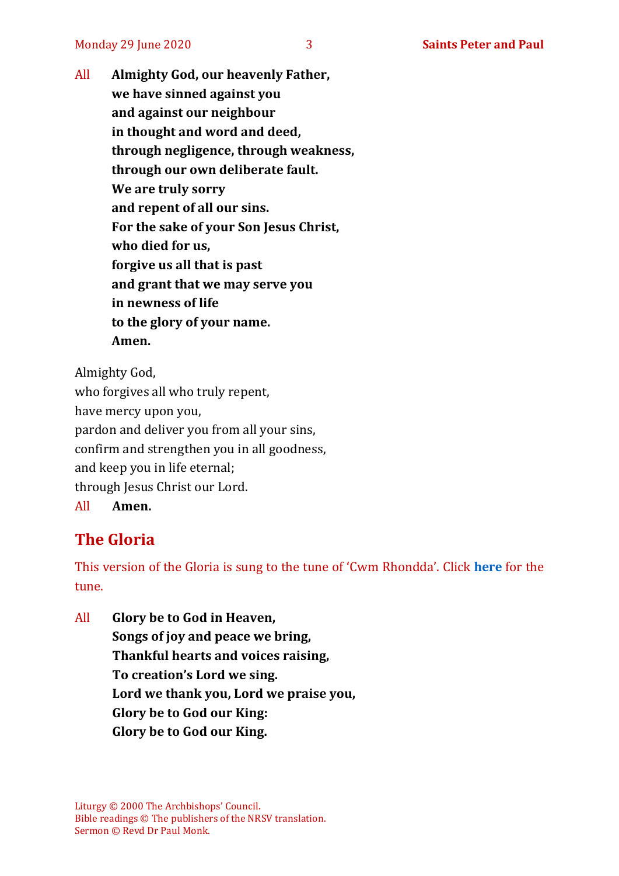All **Almighty God, our heavenly Father, we have sinned against you and against our neighbour in thought and word and deed, through negligence, through weakness, through our own deliberate fault. We are truly sorry and repent of all our sins. For the sake of your Son Jesus Christ, who died for us, forgive us all that is past and grant that we may serve you in newness of life to the glory of your name. Amen.**

Almighty God, who forgives all who truly repent, have mercy upon you, pardon and deliver you from all your sins, confirm and strengthen you in all goodness, and keep you in life eternal; through Jesus Christ our Lord. All **Amen.**

# **The Gloria**

This version of the Gloria is sung to the tune of 'Cwm Rhondda'. Click **[here](https://www.youtube.com/watch?v=BtGhnEwY74E)** for the tune.

All **Glory be to God in Heaven, Songs of joy and peace we bring, Thankful hearts and voices raising, To creation's Lord we sing. Lord we thank you, Lord we praise you, Glory be to God our King: Glory be to God our King.**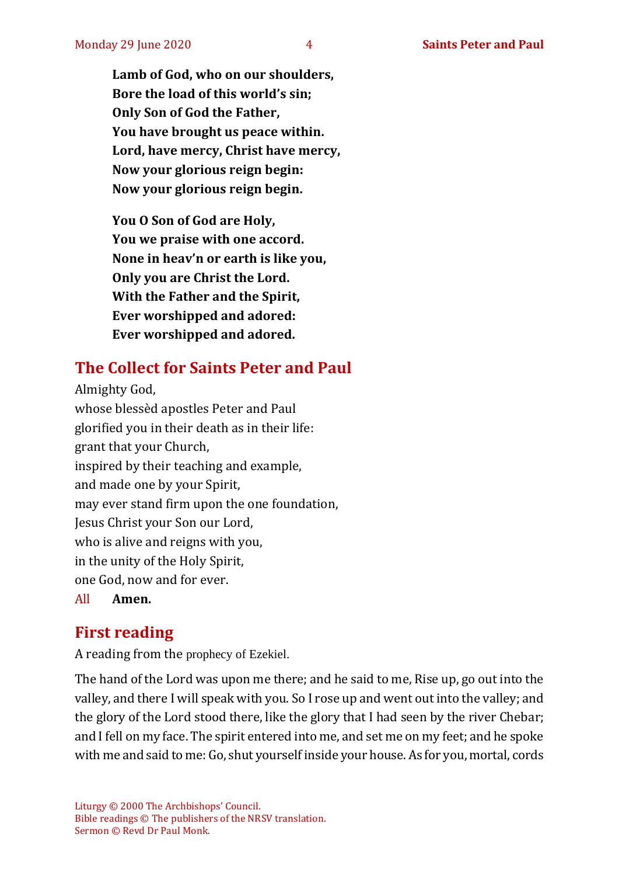**Lamb of God, who on our shoulders, Bore the load of this world's sin; Only Son of God the Father, You have brought us peace within. Lord, have mercy, Christ have mercy, Now your glorious reign begin: Now your glorious reign begin.**

**You O Son of God are Holy, You we praise with one accord. None in heav'n or earth is like you, Only you are Christ the Lord. With the Father and the Spirit, Ever worshipped and adored: Ever worshipped and adored.**

# **The Collect for Saints Peter and Paul**

Almighty God, whose blessèd apostles Peter and Paul glorified you in their death as in their life: grant that your Church, inspired by their teaching and example, and made one by your Spirit, may ever stand firm upon the one foundation, Jesus Christ your Son our Lord, who is alive and reigns with you, in the unity of the Holy Spirit, one God, now and for ever.

All **Amen.**

# **First reading**

A reading from the prophecy of Ezekiel.

The hand of the Lord was upon me there; and he said to me, Rise up, go out into the valley, and there I will speak with you. So I rose up and went out into the valley; and the glory of the Lord stood there, like the glory that I had seen by the river Chebar; and I fell on my face. The spirit entered into me, and set me on my feet; and he spoke with me and said to me: Go, shut yourself inside your house. As for you, mortal, cords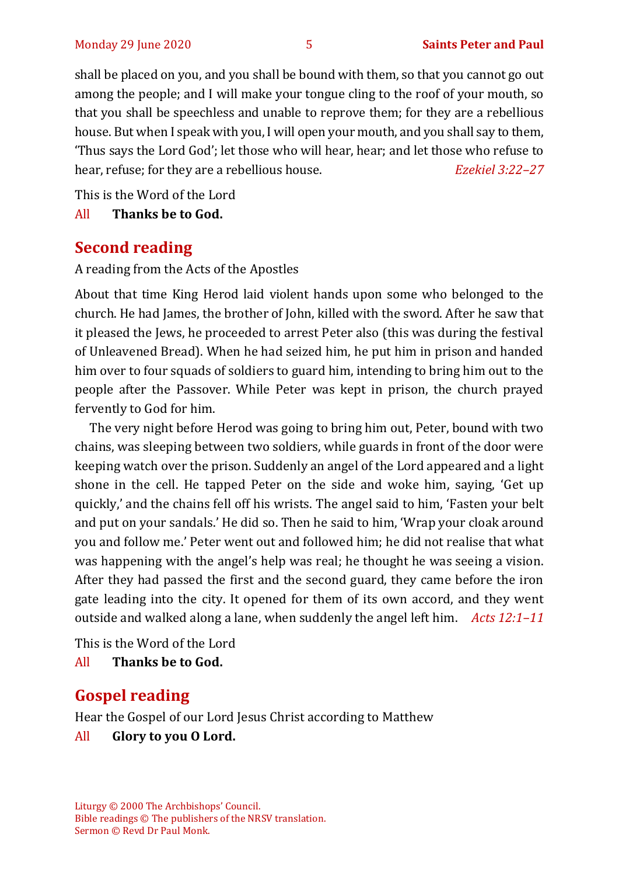shall be placed on you, and you shall be bound with them, so that you cannot go out among the people; and I will make your tongue cling to the roof of your mouth, so that you shall be speechless and unable to reprove them; for they are a rebellious house. But when I speak with you, I will open your mouth, and you shall say to them, 'Thus says the Lord God'; let those who will hear, hear; and let those who refuse to hear, refuse; for they are a rebellious house. *Ezekiel 3:22–27*

This is the Word of the Lord

All **Thanks be to God.**

#### **Second reading**

A reading from the Acts of the Apostles

About that time King Herod laid violent hands upon some who belonged to the church. He had James, the brother of John, killed with the sword. After he saw that it pleased the Jews, he proceeded to arrest Peter also (this was during the festival of Unleavened Bread). When he had seized him, he put him in prison and handed him over to four squads of soldiers to guard him, intending to bring him out to the people after the Passover. While Peter was kept in prison, the church prayed fervently to God for him.

The very night before Herod was going to bring him out, Peter, bound with two chains, was sleeping between two soldiers, while guards in front of the door were keeping watch over the prison. Suddenly an angel of the Lord appeared and a light shone in the cell. He tapped Peter on the side and woke him, saying, 'Get up quickly,' and the chains fell off his wrists. The angel said to him, 'Fasten your belt and put on your sandals.' He did so. Then he said to him, 'Wrap your cloak around you and follow me.' Peter went out and followed him; he did not realise that what was happening with the angel's help was real; he thought he was seeing a vision. After they had passed the first and the second guard, they came before the iron gate leading into the city. It opened for them of its own accord, and they went outside and walked along a lane, when suddenly the angel left him. *Acts 12:1–11*

This is the Word of the Lord

All **Thanks be to God.**

# **Gospel reading**

Hear the Gospel of our Lord Jesus Christ according to Matthew

All **Glory to you O Lord.**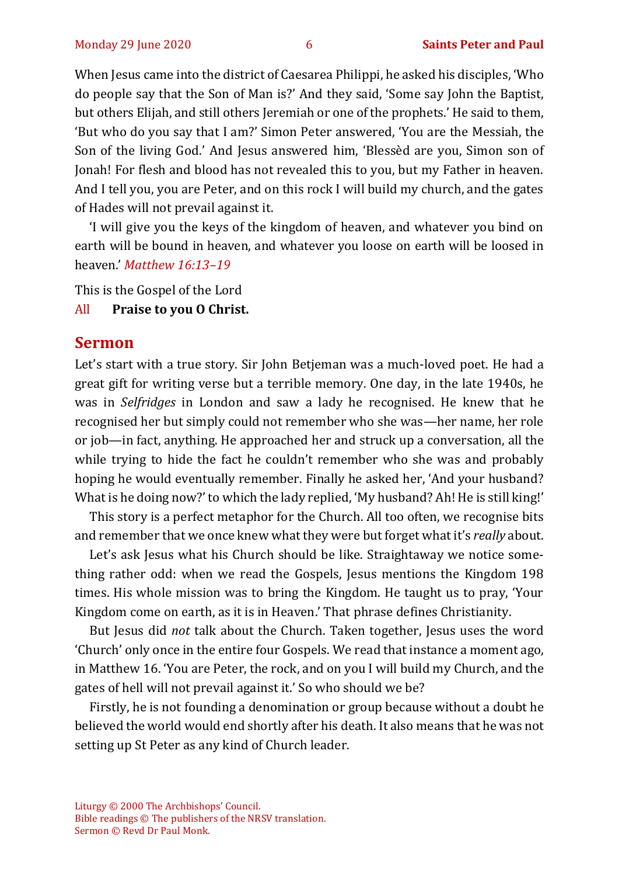When Jesus came into the district of Caesarea Philippi, he asked his disciples, 'Who do people say that the Son of Man is?' And they said, 'Some say John the Baptist, but others Elijah, and still others Jeremiah or one of the prophets.' He said to them, 'But who do you say that I am?' Simon Peter answered, 'You are the Messiah, the Son of the living God.' And Jesus answered him, 'Blessèd are you, Simon son of Jonah! For flesh and blood has not revealed this to you, but my Father in heaven. And I tell you, you are Peter, and on this rock I will build my church, and the gates of Hades will not prevail against it.

'I will give you the keys of the kingdom of heaven, and whatever you bind on earth will be bound in heaven, and whatever you loose on earth will be loosed in heaven.' *Matthew 16:13–19*

This is the Gospel of the Lord

#### All **Praise to you O Christ.**

#### **Sermon**

Let's start with a true story. Sir John Betjeman was a much-loved poet. He had a great gift for writing verse but a terrible memory. One day, in the late 1940s, he was in *Selfridges* in London and saw a lady he recognised. He knew that he recognised her but simply could not remember who she was—her name, her role or job—in fact, anything. He approached her and struck up a conversation, all the while trying to hide the fact he couldn't remember who she was and probably hoping he would eventually remember. Finally he asked her, 'And your husband? What is he doing now?' to which the lady replied, 'My husband? Ah! He is still king!'

This story is a perfect metaphor for the Church. All too often, we recognise bits and remember that we once knew what they were but forget what it's *really* about.

Let's ask Jesus what his Church should be like. Straightaway we notice something rather odd: when we read the Gospels, Jesus mentions the Kingdom 198 times. His whole mission was to bring the Kingdom. He taught us to pray, 'Your Kingdom come on earth, as it is in Heaven.' That phrase defines Christianity.

But Jesus did *not* talk about the Church. Taken together, Jesus uses the word 'Church' only once in the entire four Gospels. We read that instance a moment ago, in Matthew 16. 'You are Peter, the rock, and on you I will build my Church, and the gates of hell will not prevail against it.' So who should we be?

Firstly, he is not founding a denomination or group because without a doubt he believed the world would end shortly after his death. It also means that he was not setting up St Peter as any kind of Church leader.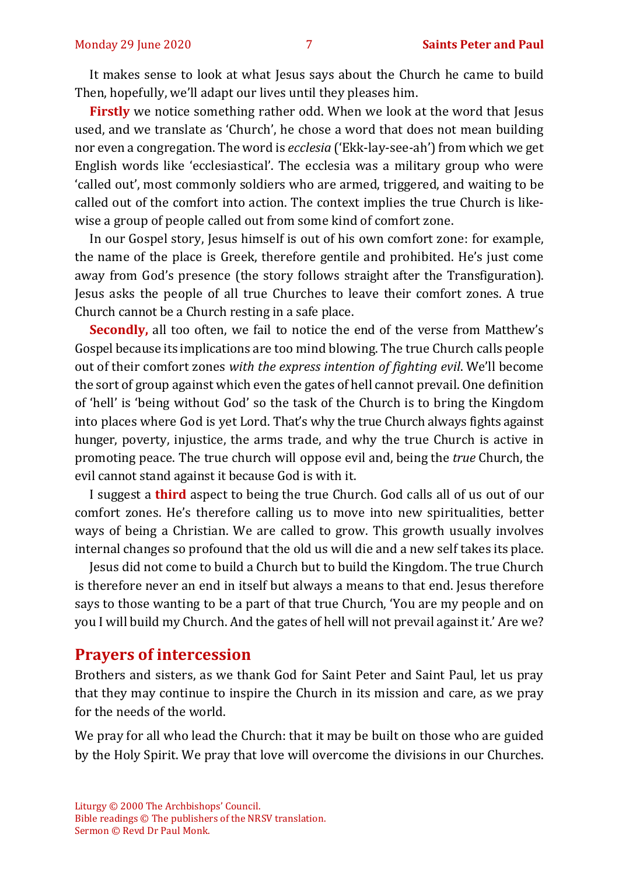It makes sense to look at what Jesus says about the Church he came to build Then, hopefully, we'll adapt our lives until they pleases him.

**Firstly** we notice something rather odd. When we look at the word that Jesus used, and we translate as 'Church', he chose a word that does not mean building nor even a congregation. The word is *ecclesia* ('Ekk-lay-see-ah') from which we get English words like 'ecclesiastical'. The ecclesia was a military group who were 'called out', most commonly soldiers who are armed, triggered, and waiting to be called out of the comfort into action. The context implies the true Church is likewise a group of people called out from some kind of comfort zone.

In our Gospel story, Jesus himself is out of his own comfort zone: for example, the name of the place is Greek, therefore gentile and prohibited. He's just come away from God's presence (the story follows straight after the Transfiguration). Jesus asks the people of all true Churches to leave their comfort zones. A true Church cannot be a Church resting in a safe place.

**Secondly,** all too often, we fail to notice the end of the verse from Matthew's Gospel because its implications are too mind blowing. The true Church calls people out of their comfort zones *with the express intention of fighting evil*. We'll become the sort of group against which even the gates of hell cannot prevail. One definition of 'hell' is 'being without God' so the task of the Church is to bring the Kingdom into places where God is yet Lord. That's why the true Church always fights against hunger, poverty, injustice, the arms trade, and why the true Church is active in promoting peace. The true church will oppose evil and, being the *true* Church, the evil cannot stand against it because God is with it.

I suggest a **third** aspect to being the true Church. God calls all of us out of our comfort zones. He's therefore calling us to move into new spiritualities, better ways of being a Christian. We are called to grow. This growth usually involves internal changes so profound that the old us will die and a new self takes its place.

Jesus did not come to build a Church but to build the Kingdom. The true Church is therefore never an end in itself but always a means to that end. Jesus therefore says to those wanting to be a part of that true Church, 'You are my people and on you I will build my Church. And the gates of hell will not prevail against it.' Are we?

#### **Prayers of intercession**

Brothers and sisters, as we thank God for Saint Peter and Saint Paul, let us pray that they may continue to inspire the Church in its mission and care, as we pray for the needs of the world.

We pray for all who lead the Church: that it may be built on those who are guided by the Holy Spirit. We pray that love will overcome the divisions in our Churches.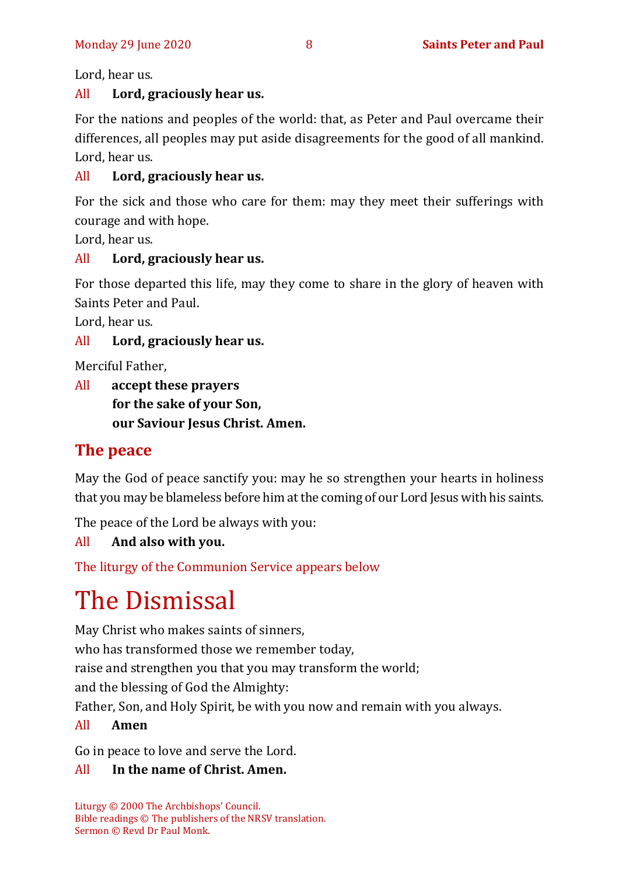Lord, hear us.

#### All **Lord, graciously hear us.**

For the nations and peoples of the world: that, as Peter and Paul overcame their differences, all peoples may put aside disagreements for the good of all mankind. Lord, hear us.

#### All **Lord, graciously hear us.**

For the sick and those who care for them: may they meet their sufferings with courage and with hope.

Lord, hear us.

#### All **Lord, graciously hear us.**

For those departed this life, may they come to share in the glory of heaven with Saints Peter and Paul.

Lord, hear us.

#### All **Lord, graciously hear us.**

Merciful Father,

All **accept these prayers for the sake of your Son, our Saviour Jesus Christ. Amen.**

#### **The peace**

May the God of peace sanctify you: may he so strengthen your hearts in holiness that you may be blameless before him at the coming of our Lord Jesus with his saints.

The peace of the Lord be always with you:

#### All **And also with you.**

The liturgy of the Communion Service appears below

# The Dismissal

May Christ who makes saints of sinners,

who has transformed those we remember today,

raise and strengthen you that you may transform the world;

and the blessing of God the Almighty:

Father, Son, and Holy Spirit, be with you now and remain with you always.

#### All **Amen**

Go in peace to love and serve the Lord.

#### All **In the name of Christ. Amen.**

Liturgy © 2000 The Archbishops' Council. Bible readings © The publishers of the NRSV translation. Sermon © Revd Dr Paul Monk.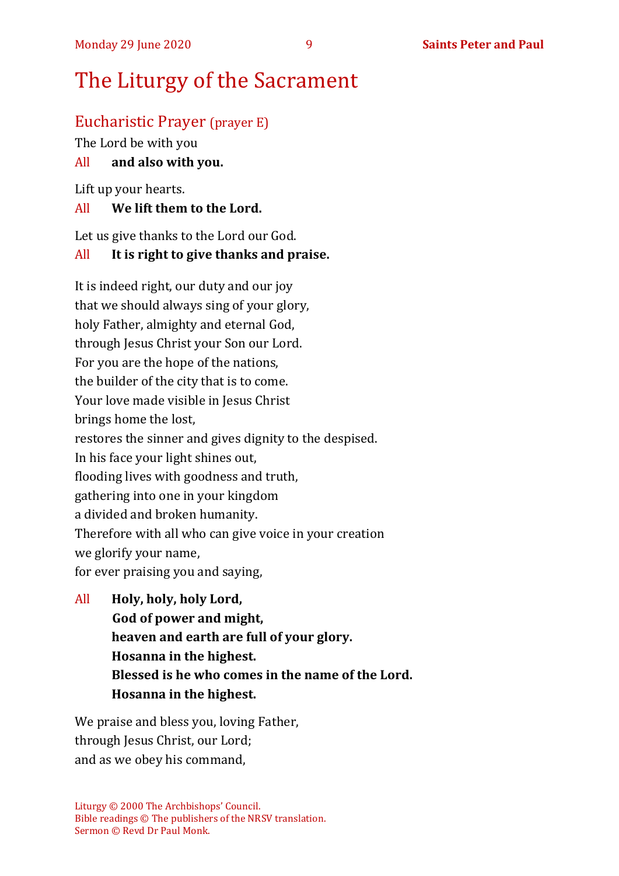# The Liturgy of the Sacrament

### Eucharistic Prayer (prayer E)

The Lord be with you

#### All **and also with you.**

Lift up your hearts.

#### All **We lift them to the Lord.**

Let us give thanks to the Lord our God.

#### All **It is right to give thanks and praise.**

It is indeed right, our duty and our joy that we should always sing of your glory, holy Father, almighty and eternal God, through Jesus Christ your Son our Lord. For you are the hope of the nations, the builder of the city that is to come. Your love made visible in Jesus Christ brings home the lost, restores the sinner and gives dignity to the despised. In his face your light shines out, flooding lives with goodness and truth, gathering into one in your kingdom a divided and broken humanity. Therefore with all who can give voice in your creation we glorify your name, for ever praising you and saying,

All **Holy, holy, holy Lord, God of power and might, heaven and earth are full of your glory. Hosanna in the highest. Blessed is he who comes in the name of the Lord. Hosanna in the highest.**

We praise and bless you, loving Father, through Jesus Christ, our Lord; and as we obey his command,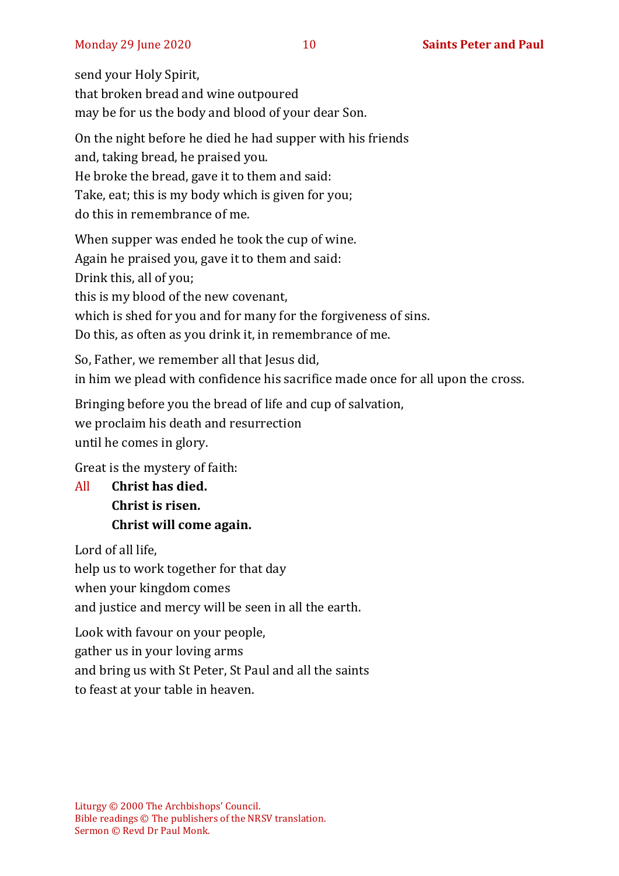send your Holy Spirit, that broken bread and wine outpoured may be for us the body and blood of your dear Son.

On the night before he died he had supper with his friends and, taking bread, he praised you. He broke the bread, gave it to them and said: Take, eat; this is my body which is given for you; do this in remembrance of me.

When supper was ended he took the cup of wine. Again he praised you, gave it to them and said: Drink this, all of you; this is my blood of the new covenant, which is shed for you and for many for the forgiveness of sins. Do this, as often as you drink it, in remembrance of me.

So, Father, we remember all that Jesus did, in him we plead with confidence his sacrifice made once for all upon the cross.

Bringing before you the bread of life and cup of salvation, we proclaim his death and resurrection until he comes in glory.

Great is the mystery of faith:

All **Christ has died. Christ is risen. Christ will come again.**

Lord of all life,

help us to work together for that day

when your kingdom comes

and justice and mercy will be seen in all the earth.

Look with favour on your people, gather us in your loving arms and bring us with St Peter, St Paul and all the saints to feast at your table in heaven.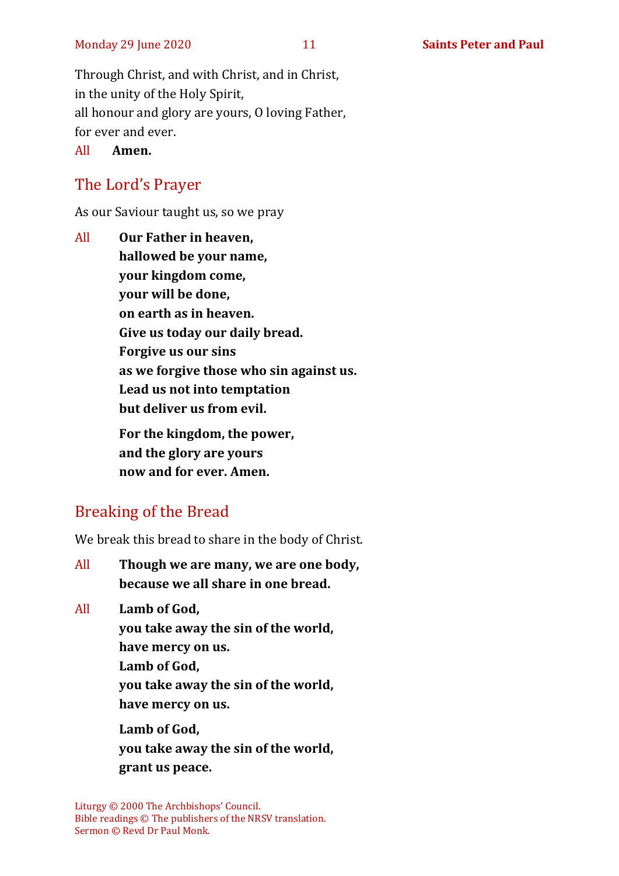Through Christ, and with Christ, and in Christ, in the unity of the Holy Spirit, all honour and glory are yours, O loving Father, for ever and ever.

All **Amen.**

# The Lord's Prayer

As our Saviour taught us, so we pray

All **Our Father in heaven, hallowed be your name, your kingdom come, your will be done, on earth as in heaven. Give us today our daily bread. Forgive us our sins as we forgive those who sin against us. Lead us not into temptation but deliver us from evil. For the kingdom, the power, and the glory are yours now and for ever. Amen.**

# Breaking of the Bread

We break this bread to share in the body of Christ.

All **Though we are many, we are one body, because we all share in one bread.**

All **Lamb of God,**

**you take away the sin of the world,**

**have mercy on us.**

**Lamb of God,** 

**you take away the sin of the world, have mercy on us.**

**Lamb of God, you take away the sin of the world, grant us peace.**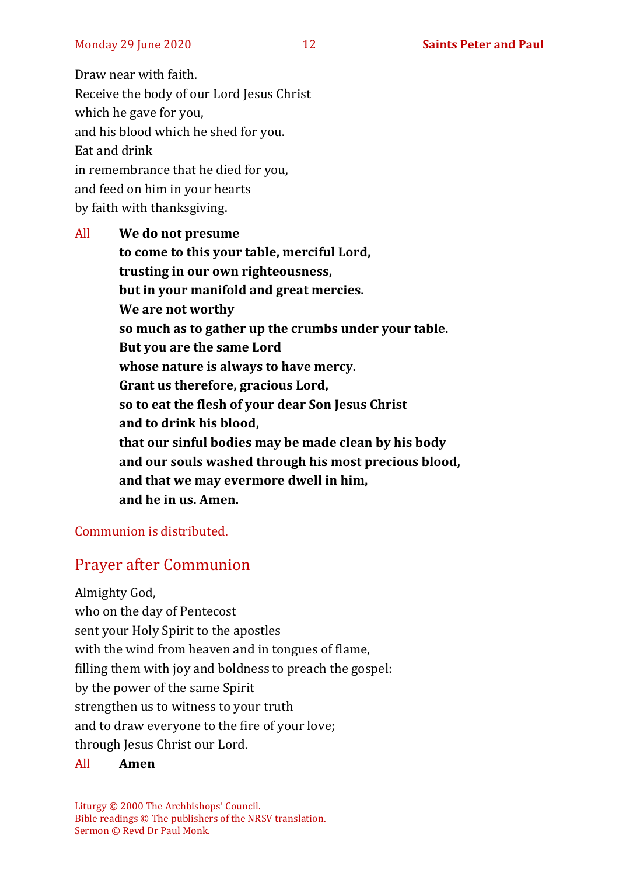Draw near with faith. Receive the body of our Lord Jesus Christ which he gave for you, and his blood which he shed for you. Eat and drink in remembrance that he died for you, and feed on him in your hearts by faith with thanksgiving.

All **We do not presume to come to this your table, merciful Lord, trusting in our own righteousness, but in your manifold and great mercies. We are not worthy so much as to gather up the crumbs under your table. But you are the same Lord whose nature is always to have mercy. Grant us therefore, gracious Lord, so to eat the flesh of your dear Son Jesus Christ and to drink his blood, that our sinful bodies may be made clean by his body and our souls washed through his most precious blood, and that we may evermore dwell in him, and he in us. Amen.**

Communion is distributed.

# Prayer after Communion

Almighty God, who on the day of Pentecost sent your Holy Spirit to the apostles with the wind from heaven and in tongues of flame, filling them with joy and boldness to preach the gospel: by the power of the same Spirit strengthen us to witness to your truth and to draw everyone to the fire of your love; through Jesus Christ our Lord.

#### All **Amen**